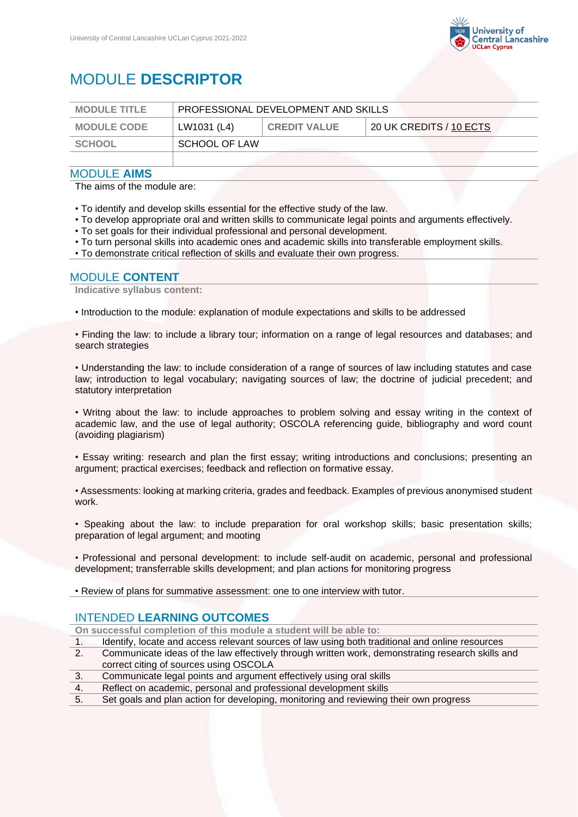

# MODULE **DESCRIPTOR**

| <b>MODULE TITLE</b> | PROFESSIONAL DEVELOPMENT AND SKILLS |                     |                         |
|---------------------|-------------------------------------|---------------------|-------------------------|
| <b>MODULE CODE</b>  | LW1031 (L4)                         | <b>CREDIT VALUE</b> | 20 UK CREDITS / 10 ECTS |
| SCHOOL              | SCHOOL OF LAW                       |                     |                         |
|                     |                                     |                     |                         |

# MODULE **AIMS**

The aims of the module are:

- To identify and develop skills essential for the effective study of the law.
- To develop appropriate oral and written skills to communicate legal points and arguments effectively.
- To set goals for their individual professional and personal development.
- To turn personal skills into academic ones and academic skills into transferable employment skills.
- To demonstrate critical reflection of skills and evaluate their own progress.

## MODULE **CONTENT**

**Indicative syllabus content:**

• Introduction to the module: explanation of module expectations and skills to be addressed

• Finding the law: to include a library tour; information on a range of legal resources and databases; and search strategies

• Understanding the law: to include consideration of a range of sources of law including statutes and case law; introduction to legal vocabulary; navigating sources of law; the doctrine of judicial precedent; and statutory interpretation

• Writng about the law: to include approaches to problem solving and essay writing in the context of academic law, and the use of legal authority; OSCOLA referencing guide, bibliography and word count (avoiding plagiarism)

• Essay writing: research and plan the first essay; writing introductions and conclusions; presenting an argument; practical exercises; feedback and reflection on formative essay.

• Assessments: looking at marking criteria, grades and feedback. Examples of previous anonymised student work.

• Speaking about the law: to include preparation for oral workshop skills; basic presentation skills; preparation of legal argument; and mooting

• Professional and personal development: to include self-audit on academic, personal and professional development; transferrable skills development; and plan actions for monitoring progress

• Review of plans for summative assessment: one to one interview with tutor.

# INTENDED **LEARNING OUTCOMES**

**On successful completion of this module a student will be able to:**

- 1. Identify, locate and access relevant sources of law using both traditional and online resources
- 2. Communicate ideas of the law effectively through written work, demonstrating research skills and correct citing of sources using OSCOLA
- 3. Communicate legal points and argument effectively using oral skills
- 4. Reflect on academic, personal and professional development skills
- 5. Set goals and plan action for developing, monitoring and reviewing their own progress